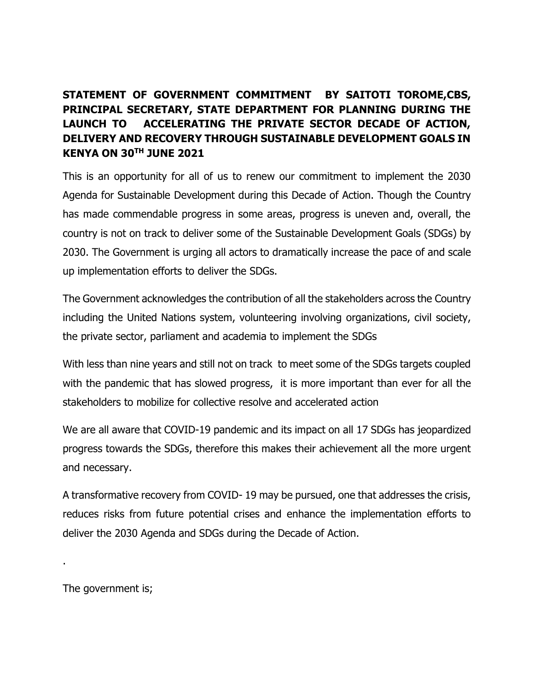## **STATEMENT OF GOVERNMENT COMMITMENT BY SAITOTI TOROME,CBS, PRINCIPAL SECRETARY, STATE DEPARTMENT FOR PLANNING DURING THE LAUNCH TO ACCELERATING THE PRIVATE SECTOR DECADE OF ACTION, DELIVERY AND RECOVERY THROUGH SUSTAINABLE DEVELOPMENT GOALS IN KENYA ON 30TH JUNE 2021**

This is an opportunity for all of us to renew our commitment to implement the 2030 Agenda for Sustainable Development during this Decade of Action. Though the Country has made commendable progress in some areas, progress is uneven and, overall, the country is not on track to deliver some of the Sustainable Development Goals (SDGs) by 2030. The Government is urging all actors to dramatically increase the pace of and scale up implementation efforts to deliver the SDGs.

The Government acknowledges the contribution of all the stakeholders across the Country including the United Nations system, volunteering involving organizations, civil society, the private sector, parliament and academia to implement the SDGs

With less than nine years and still not on track to meet some of the SDGs targets coupled with the pandemic that has slowed progress, it is more important than ever for all the stakeholders to mobilize for collective resolve and accelerated action

We are all aware that COVID-19 pandemic and its impact on all 17 SDGs has jeopardized progress towards the SDGs, therefore this makes their achievement all the more urgent and necessary.

A transformative recovery from COVID- 19 may be pursued, one that addresses the crisis, reduces risks from future potential crises and enhance the implementation efforts to deliver the 2030 Agenda and SDGs during the Decade of Action.

The government is;

.